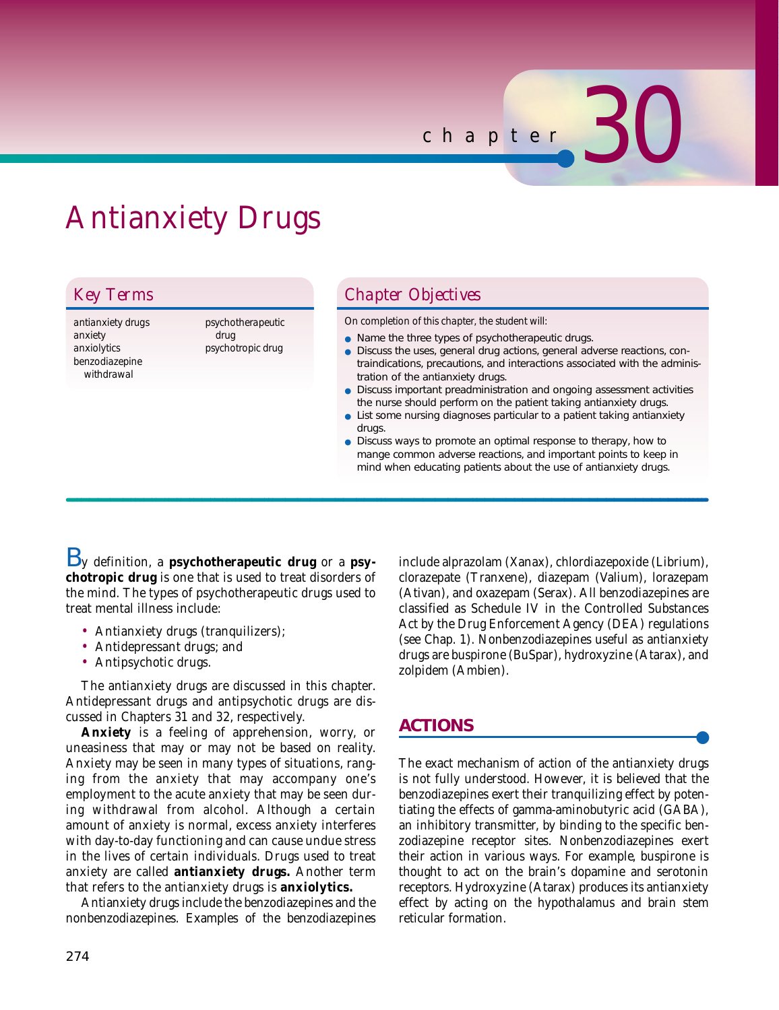# *chapter*

# Antianxiety Drugs

*antianxiety drugs anxiety anxiolytics benzodiazepine withdrawal*

*psychotherapeutic drug psychotropic drug*

# *Key Terms Chapter Objectives*

*On completion of this chapter, the student will:* 

- Name the three types of psychotherapeutic drugs.
- Discuss the uses, general drug actions, general adverse reactions, contraindications, precautions, and interactions associated with the administration of the antianxiety drugs.
- Discuss important preadministration and ongoing assessment activities the nurse should perform on the patient taking antianxiety drugs.
- List some nursing diagnoses particular to a patient taking antianxiety drugs.
- Discuss ways to promote an optimal response to therapy, how to mange common adverse reactions, and important points to keep in mind when educating patients about the use of antianxiety drugs.

By definition, a **psychotherapeutic drug** or a **psychotropic drug** is one that is used to treat disorders of the mind. The types of psychotherapeutic drugs used to treat mental illness include:

- Antianxiety drugs (tranquilizers);
- Antidepressant drugs; and
- Antipsychotic drugs.

The antianxiety drugs are discussed in this chapter. Antidepressant drugs and antipsychotic drugs are discussed in Chapters 31 and 32, respectively.

**Anxiety** is a feeling of apprehension, worry, or uneasiness that may or may not be based on reality. Anxiety may be seen in many types of situations, ranging from the anxiety that may accompany one's employment to the acute anxiety that may be seen during withdrawal from alcohol. Although a certain amount of anxiety is normal, excess anxiety interferes with day-to-day functioning and can cause undue stress in the lives of certain individuals. Drugs used to treat anxiety are called **antianxiety drugs.** Another term that refers to the antianxiety drugs is **anxiolytics.**

Antianxiety drugs include the benzodiazepines and the nonbenzodiazepines. Examples of the benzodiazepines

include alprazolam (Xanax), chlordiazepoxide (Librium), clorazepate (Tranxene), diazepam (Valium), lorazepam (Ativan), and oxazepam (Serax). All benzodiazepines are classified as Schedule IV in the Controlled Substances Act by the Drug Enforcement Agency (DEA) regulations (see Chap. 1). Nonbenzodiazepines useful as antianxiety drugs are buspirone (BuSpar), hydroxyzine (Atarax), and zolpidem (Ambien).

# **ACTIONS** ●

The exact mechanism of action of the antianxiety drugs is not fully understood. However, it is believed that the benzodiazepines exert their tranquilizing effect by potentiating the effects of gamma-aminobutyric acid (GABA), an inhibitory transmitter, by binding to the specific benzodiazepine receptor sites. Nonbenzodiazepines exert their action in various ways. For example, buspirone is thought to act on the brain's dopamine and serotonin receptors. Hydroxyzine (Atarax) produces its antianxiety effect by acting on the hypothalamus and brain stem reticular formation.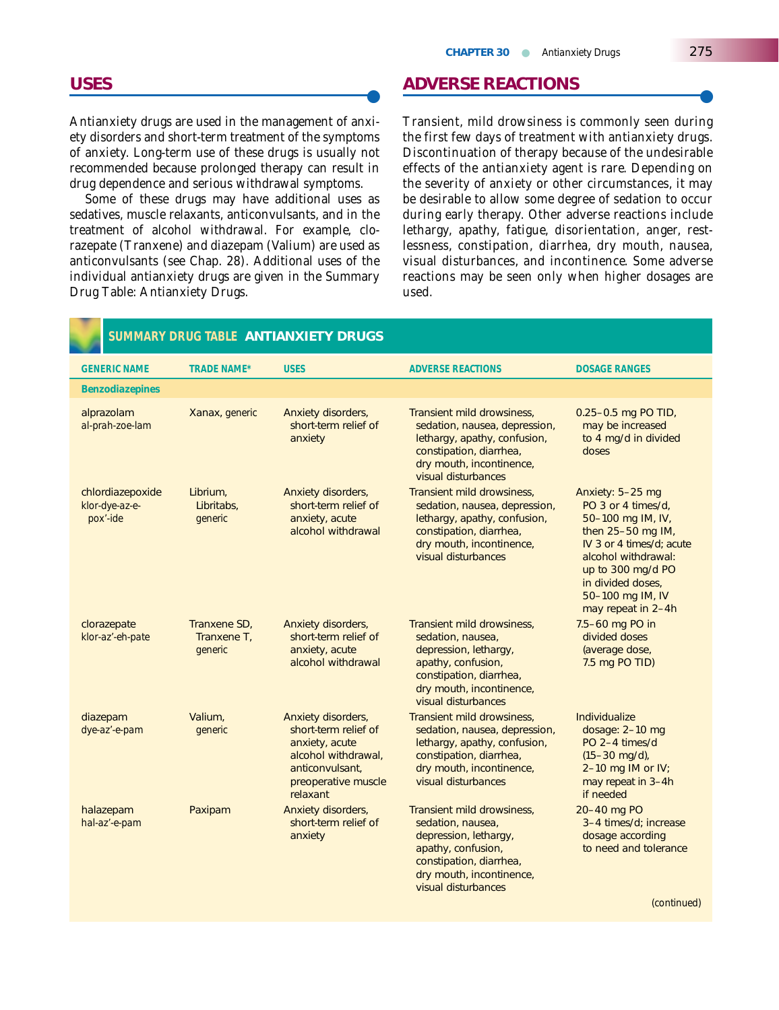# **USES** ●

Antianxiety drugs are used in the management of anxiety disorders and short-term treatment of the symptoms of anxiety. Long-term use of these drugs is usually not recommended because prolonged therapy can result in drug dependence and serious withdrawal symptoms.

Some of these drugs may have additional uses as sedatives, muscle relaxants, anticonvulsants, and in the treatment of alcohol withdrawal. For example, clorazepate (Tranxene) and diazepam (Valium) are used as anticonvulsants (see Chap. 28). Additional uses of the individual antianxiety drugs are given in the Summary Drug Table: Antianxiety Drugs.

# **ADVERSE REACTIONS** ●

Transient, mild drowsiness is commonly seen during the first few days of treatment with antianxiety drugs. Discontinuation of therapy because of the undesirable effects of the antianxiety agent is rare. Depending on the severity of anxiety or other circumstances, it may be desirable to allow some degree of sedation to occur during early therapy. Other adverse reactions include lethargy, apathy, fatigue, disorientation, anger, restlessness, constipation, diarrhea, dry mouth, nausea, visual disturbances, and incontinence. Some adverse reactions may be seen only when higher dosages are used.

### **GENERIC NAME TRADE NAME\*** USES ADVERSE REACTIONS DOSAGE RANGES *Benzodiazepines* alprazolam Xanax, *generic* Anxiety disorders, Transient mild drowsiness, 0.25–0.5 mg PO TID, *al-prah-zoe-lam* short-term relief of sedation, nausea, depression, may be increased anxiety lethargy, apathy, confusion, to 4 mg/d in divided constipation, diarrhea, and doses dry mouth, incontinence, visual disturbances chlordiazepoxide Librium, Anxiety disorders, Transient mild drowsiness, Anxiety: 5-25 mg *klor*-*dye*-*az*-*e-* Libritabs, short-term relief of sedation, nausea, depression, PO 3 or 4 times/d, *pox'-ide* generic anxiety, acute lethargy, apathy, confusion, alcohol withdrawal constipation, diarrhea, then 25–50 mg IM,<br>dry mouth, incontinence, the M 3 or 4 times/d; acute dry mouth, incontinence, visual disturbances alcohol withdrawal: up to 300 mg/d PO in divided doses, 50–100 mg IM, IV may repeat in 2–4h clorazepate Tranxene SD, Anxiety disorders, Transient mild drowsiness, 7.5–60 mg PO in *klor*-*az'*-*eh*-*pate* Tranxene T, short-term relief of sedation, nausea, divided doses anxiety, acute depression, lethargy, anxiety, acute dose, alcohol withdrawal apathy, confusion, T.5 mg PO TID) constipation, diarrhea, dry mouth, incontinence, visual disturbances diazepam Valium, Anxiety disorders, Transient mild drowsiness, Individualize *dye*-*az'*-*e*-*pam generic* short-term relief of sedation, nausea, depression, dosage: 2–10 mg anxiety, acute lethargy, apathy, confusion, PO 2-4 times/d alcohol withdrawal, constipation, diarrhea, (15-30 mg/d), anticonvulsant, dry mouth, incontinence, 2–10 mg IM or IV; preoperative muscle visual disturbances may repeat in 3–4h relaxant is a state of the state of the state of the state of the state of the state of the state of the state halazepam Paxipam Anxiety disorders, Transient mild drowsiness, 20-40 mg PO *hal-az'-e-pam* short-term relief of sedation, nausea, 3-4 times/d; increase anxiety anxiety depression, lethargy, anxiety depression, lethargy, apathy, confusion, to need and tolerance constipation, diarrhea, dry mouth, incontinence, visual disturbances **SUMMARY DRUG TABLE ANTIANXIETY DRUGS**

*(continued)*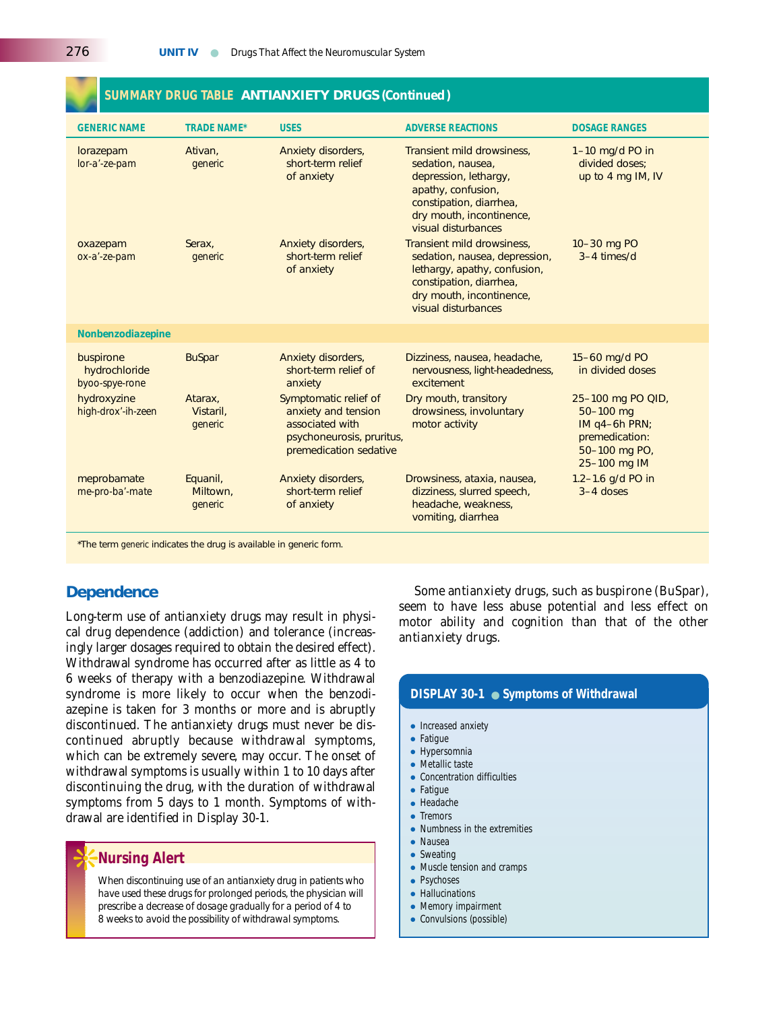## **SUMMARY DRUG TABLE ANTIANXIETY DRUGS** *(Continued )*

| <b>GENERIC NAME</b>                                               | <b>TRADE NAME*</b>              | <b>USES</b>                                                                                                            | <b>ADVERSE REACTIONS</b>                                                                                                                                                     | <b>DOSAGE RANGES</b>                                                                                     |
|-------------------------------------------------------------------|---------------------------------|------------------------------------------------------------------------------------------------------------------------|------------------------------------------------------------------------------------------------------------------------------------------------------------------------------|----------------------------------------------------------------------------------------------------------|
| lorazepam<br>lor-a'-ze-pam                                        | Ativan,<br>generic              | Anxiety disorders,<br>short-term relief<br>of anxiety                                                                  | Transient mild drowsiness,<br>sedation, nausea,<br>depression, lethargy,<br>apathy, confusion,<br>constipation, diarrhea,<br>dry mouth, incontinence,<br>visual disturbances | $1-10$ mg/d PO in<br>divided doses:<br>up to 4 mg IM, IV                                                 |
| oxazepam<br>ox-a'-ze-pam                                          | Serax,<br>generic               | Anxiety disorders,<br>short-term relief<br>of anxiety                                                                  | Transient mild drowsiness.<br>sedation, nausea, depression,<br>lethargy, apathy, confusion,<br>constipation, diarrhea,<br>dry mouth, incontinence,<br>visual disturbances    | 10-30 mg PO<br>3-4 times/d                                                                               |
| Nonbenzodiazepine                                                 |                                 |                                                                                                                        |                                                                                                                                                                              |                                                                                                          |
| buspirone<br>hydrochloride<br>byoo-spye-rone                      | <b>BuSpar</b>                   | Anxiety disorders,<br>short-term relief of<br>anxiety                                                                  | Dizziness, nausea, headache,<br>nervousness, light-headedness,<br>excitement                                                                                                 | 15-60 mg/d PO<br>in divided doses                                                                        |
| hydroxyzine<br>high-drox'-ih-zeen                                 | Atarax,<br>Vistaril,<br>generic | Symptomatic relief of<br>anxiety and tension<br>associated with<br>psychoneurosis, pruritus,<br>premedication sedative | Dry mouth, transitory<br>drowsiness, involuntary<br>motor activity                                                                                                           | 25-100 mg PO QID,<br>$50 - 100$ mg<br>IM $q4-6h$ PRN;<br>premedication:<br>50-100 mg PO,<br>25-100 mg IM |
| meprobamate<br>me-pro-ba'-mate                                    | Equanil,<br>Miltown.<br>generic | Anxiety disorders,<br>short-term relief<br>of anxiety                                                                  | Drowsiness, ataxia, nausea,<br>dizziness, slurred speech,<br>headache, weakness,<br>vomiting, diarrhea                                                                       | 1.2-1.6 g/d PO in<br>$3-4$ doses                                                                         |
| *The term generic indicates the drug is available in generic form |                                 |                                                                                                                        |                                                                                                                                                                              |                                                                                                          |

cates the drug is available in generic form

# **Dependence**

Long-term use of antianxiety drugs may result in physical drug dependence (addiction) and tolerance (increasingly larger dosages required to obtain the desired effect). Withdrawal syndrome has occurred after as little as 4 to 6 weeks of therapy with a benzodiazepine. Withdrawal syndrome is more likely to occur when the benzodiazepine is taken for 3 months or more and is abruptly discontinued. The antianxiety drugs must never be discontinued abruptly because withdrawal symptoms, which can be extremely severe, may occur. The onset of withdrawal symptoms is usually within 1 to 10 days after discontinuing the drug, with the duration of withdrawal symptoms from 5 days to 1 month. Symptoms of withdrawal are identified in Display 30-1.

# ❊**Nursing Alert**

*When discontinuing use of an antianxiety drug in patients who have used these drugs for prolonged periods, the physician will prescribe a decrease of dosage gradually for a period of 4 to 8 weeks to avoid the possibility of withdrawal symptoms.*

Some antianxiety drugs, such as buspirone (BuSpar), seem to have less abuse potential and less effect on motor ability and cognition than that of the other antianxiety drugs.

| • Increased anxiety<br>Fatique<br>Hypersomnia<br>• Metallic taste<br>• Concentration difficulties<br>Fatique<br>$\bullet$<br>Headache                                                          |
|------------------------------------------------------------------------------------------------------------------------------------------------------------------------------------------------|
| $\bullet$ Tremors<br>Numbness in the extremities<br><b>Nausea</b><br>• Sweating<br>• Muscle tension and cramps<br>Psychoses<br>• Hallucinations<br>Memory impairment<br>Convulsions (possible) |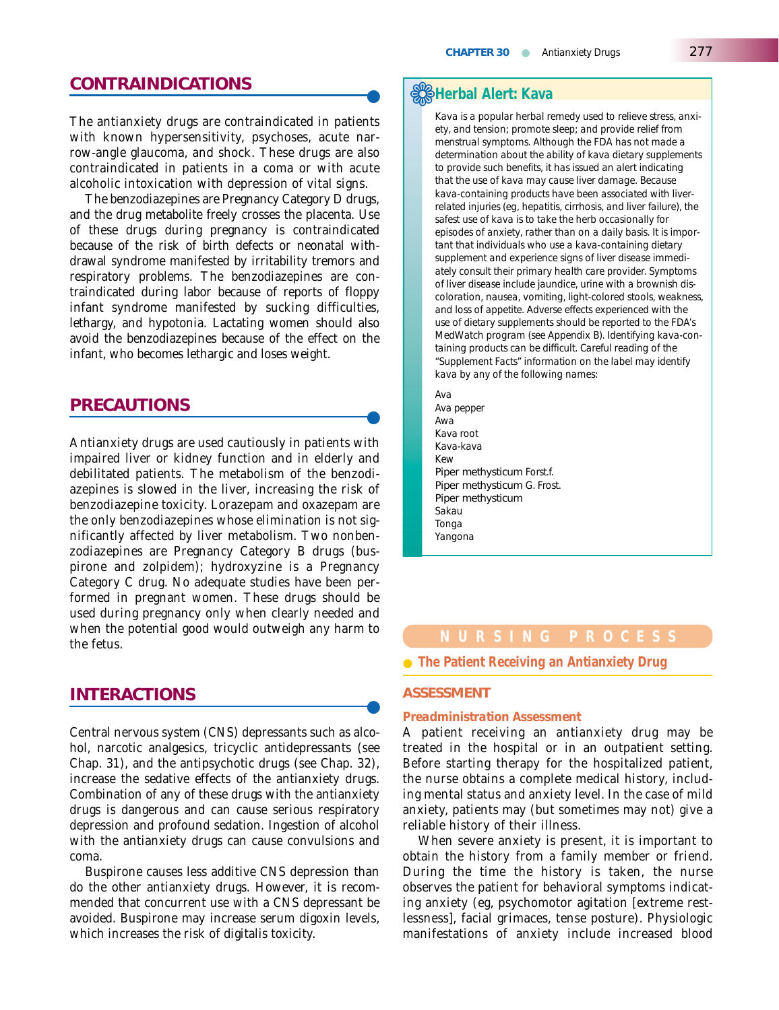# **CONTRAINDICATIONS** ●

The antianxiety drugs are contraindicated in patients with known hypersensitivity, psychoses, acute narrow-angle glaucoma, and shock. These drugs are also contraindicated in patients in a coma or with acute alcoholic intoxication with depression of vital signs.

The benzodiazepines are Pregnancy Category D drugs, and the drug metabolite freely crosses the placenta. Use of these drugs during pregnancy is contraindicated because of the risk of birth defects or neonatal withdrawal syndrome manifested by irritability tremors and respiratory problems. The benzodiazepines are contraindicated during labor because of reports of floppy infant syndrome manifested by sucking difficulties, lethargy, and hypotonia. Lactating women should also avoid the benzodiazepines because of the effect on the infant, who becomes lethargic and loses weight.

# **PRECAUTIONS**

Antianxiety drugs are used cautiously in patients with impaired liver or kidney function and in elderly and debilitated patients. The metabolism of the benzodiazepines is slowed in the liver, increasing the risk of benzodiazepine toxicity. Lorazepam and oxazepam are the only benzodiazepines whose elimination is not significantly affected by liver metabolism. Two nonbenzodiazepines are Pregnancy Category B drugs (buspirone and zolpidem); hydroxyzine is a Pregnancy Category C drug. No adequate studies have been performed in pregnant women. These drugs should be used during pregnancy only when clearly needed and when the potential good would outweigh any harm to the fetus.

# **INTERACTIONS**

Central nervous system (CNS) depressants such as alcohol, narcotic analgesics, tricyclic antidepressants (see Chap. 31), and the antipsychotic drugs (see Chap. 32), increase the sedative effects of the antianxiety drugs. Combination of any of these drugs with the antianxiety drugs is dangerous and can cause serious respiratory depression and profound sedation. Ingestion of alcohol with the antianxiety drugs can cause convulsions and coma.

Buspirone causes less additive CNS depression than do the other antianxiety drugs. However, it is recommended that concurrent use with a CNS depressant be avoided. Buspirone may increase serum digoxin levels, which increases the risk of digitalis toxicity.

# ❁**Herbal Alert: Kava**

*Kava is a popular herbal remedy used to relieve stress, anxiety, and tension; promote sleep; and provide relief from menstrual symptoms. Although the FDA has not made a determination about the ability of kava dietary supplements to provide such benefits, it has issued an alert indicating that the use of kava may cause liver damage. Because kava-containing products have been associated with liverrelated injuries (eg, hepatitis, cirrhosis, and liver failure), the safest use of kava is to take the herb occasionally for episodes of anxiety, rather than on a daily basis. It is important that individuals who use a kava-containing dietary supplement and experience signs of liver disease immediately consult their primary health care provider. Symptoms of liver disease include jaundice, urine with a brownish discoloration, nausea, vomiting, light-colored stools, weakness, and loss of appetite. Adverse effects experienced with the use of dietary supplements should be reported to the FDA's MedWatch program (see Appendix B). Identifying kava-containing products can be difficult. Careful reading of the "Supplement Facts" information on the label may identify kava by any of the following names:*

*Ava Ava pepper Awa Kava root Kava-kava Kew* Piper methysticum *Forst.f.* Piper methysticum *G. Frost.* Piper methysticum *Sakau Tonga Yangona*

# **NURSING PROCESS**

#### ● **The Patient Receiving an Antianxiety Drug**

#### **ASSESSMENT**

#### *Preadministration Assessment*

A patient receiving an antianxiety drug may be treated in the hospital or in an outpatient setting. Before starting therapy for the hospitalized patient, the nurse obtains a complete medical history, including mental status and anxiety level. In the case of mild anxiety, patients may (but sometimes may not) give a reliable history of their illness.

When severe anxiety is present, it is important to obtain the history from a family member or friend. During the time the history is taken, the nurse observes the patient for behavioral symptoms indicating anxiety (eg, psychomotor agitation [extreme restlessness], facial grimaces, tense posture). Physiologic manifestations of anxiety include increased blood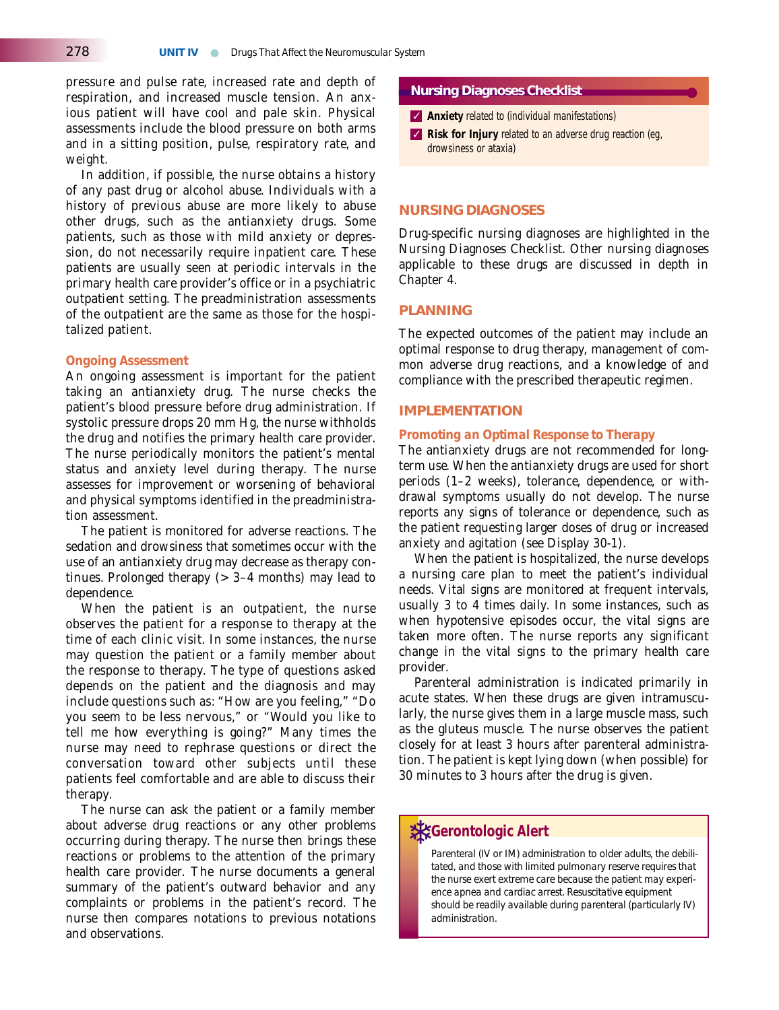pressure and pulse rate, increased rate and depth of respiration, and increased muscle tension. An anxious patient will have cool and pale skin. Physical assessments include the blood pressure on both arms and in a sitting position, pulse, respiratory rate, and weight.

In addition, if possible, the nurse obtains a history of any past drug or alcohol abuse. Individuals with a history of previous abuse are more likely to abuse other drugs, such as the antianxiety drugs. Some patients, such as those with mild anxiety or depression, do not necessarily require inpatient care. These patients are usually seen at periodic intervals in the primary health care provider's office or in a psychiatric outpatient setting. The preadministration assessments of the outpatient are the same as those for the hospitalized patient.

#### *Ongoing Assessment*

An ongoing assessment is important for the patient taking an antianxiety drug. The nurse checks the patient's blood pressure before drug administration. If systolic pressure drops 20 mm Hg, the nurse withholds the drug and notifies the primary health care provider. The nurse periodically monitors the patient's mental status and anxiety level during therapy. The nurse assesses for improvement or worsening of behavioral and physical symptoms identified in the preadministration assessment.

The patient is monitored for adverse reactions. The sedation and drowsiness that sometimes occur with the use of an antianxiety drug may decrease as therapy continues. Prolonged therapy  $(>3-4$  months) may lead to dependence.

When the patient is an outpatient, the nurse observes the patient for a response to therapy at the time of each clinic visit. In some instances, the nurse may question the patient or a family member about the response to therapy. The type of questions asked depends on the patient and the diagnosis and may include questions such as: "How are you feeling," "Do you seem to be less nervous," or "Would you like to tell me how everything is going?" Many times the nurse may need to rephrase questions or direct the conversation toward other subjects until these patients feel comfortable and are able to discuss their therapy.

The nurse can ask the patient or a family member about adverse drug reactions or any other problems occurring during therapy. The nurse then brings these reactions or problems to the attention of the primary health care provider. The nurse documents a general summary of the patient's outward behavior and any complaints or problems in the patient's record. The nurse then compares notations to previous notations and observations.

#### **Nursing Diagnoses Checklist**

- ✓ **Anxiety** related to (individual manifestations)
- ✓ **Risk for Injury** related to an adverse drug reaction (eg, drowsiness or ataxia)

#### **NURSING DIAGNOSES**

Drug-specific nursing diagnoses are highlighted in the Nursing Diagnoses Checklist. Other nursing diagnoses applicable to these drugs are discussed in depth in Chapter 4.

# **PLANNING**

The expected outcomes of the patient may include an optimal response to drug therapy, management of common adverse drug reactions, and a knowledge of and compliance with the prescribed therapeutic regimen.

#### **IMPLEMENTATION**

#### *Promoting an Optimal Response to Therapy*

The antianxiety drugs are not recommended for longterm use. When the antianxiety drugs are used for short periods (1–2 weeks), tolerance, dependence, or withdrawal symptoms usually do not develop. The nurse reports any signs of tolerance or dependence, such as the patient requesting larger doses of drug or increased anxiety and agitation (see Display 30-1).

When the patient is hospitalized, the nurse develops a nursing care plan to meet the patient's individual needs. Vital signs are monitored at frequent intervals, usually 3 to 4 times daily. In some instances, such as when hypotensive episodes occur, the vital signs are taken more often. The nurse reports any significant change in the vital signs to the primary health care provider.

Parenteral administration is indicated primarily in acute states. When these drugs are given intramuscularly, the nurse gives them in a large muscle mass, such as the gluteus muscle. The nurse observes the patient closely for at least 3 hours after parenteral administration. The patient is kept lying down (when possible) for 30 minutes to 3 hours after the drug is given.

# ❄**Gerontologic Alert**

*Parenteral (IV or IM) administration to older adults, the debilitated, and those with limited pulmonary reserve requires that the nurse exert extreme care because the patient may experience apnea and cardiac arrest. Resuscitative equipment should be readily available during parenteral (particularly IV) administration.*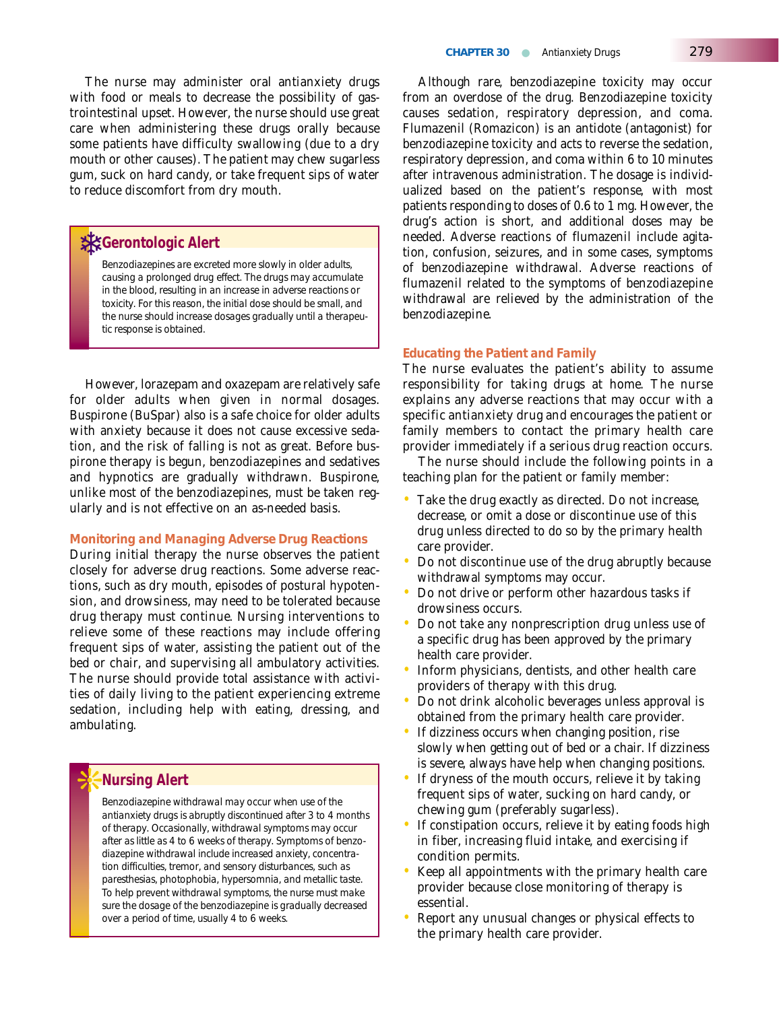The nurse may administer oral antianxiety drugs with food or meals to decrease the possibility of gastrointestinal upset. However, the nurse should use great care when administering these drugs orally because some patients have difficulty swallowing (due to a dry mouth or other causes). The patient may chew sugarless gum, suck on hard candy, or take frequent sips of water to reduce discomfort from dry mouth.

# ❄**Gerontologic Alert**

*Benzodiazepines are excreted more slowly in older adults, causing a prolonged drug effect. The drugs may accumulate in the blood, resulting in an increase in adverse reactions or toxicity. For this reason, the initial dose should be small, and the nurse should increase dosages gradually until a therapeutic response is obtained.* 

However, lorazepam and oxazepam are relatively safe for older adults when given in normal dosages. Buspirone (BuSpar) also is a safe choice for older adults with anxiety because it does not cause excessive sedation, and the risk of falling is not as great. Before buspirone therapy is begun, benzodiazepines and sedatives and hypnotics are gradually withdrawn. Buspirone, unlike most of the benzodiazepines, must be taken regularly and is not effective on an as-needed basis.

# *Monitoring and Managing Adverse Drug Reactions*

During initial therapy the nurse observes the patient closely for adverse drug reactions. Some adverse reactions, such as dry mouth, episodes of postural hypotension, and drowsiness, may need to be tolerated because drug therapy must continue. Nursing interventions to relieve some of these reactions may include offering frequent sips of water, assisting the patient out of the bed or chair, and supervising all ambulatory activities. The nurse should provide total assistance with activities of daily living to the patient experiencing extreme sedation, including help with eating, dressing, and ambulating.

# ❊**Nursing Alert**

*Benzodiazepine withdrawal may occur when use of the antianxiety drugs is abruptly discontinued after 3 to 4 months of therapy. Occasionally, withdrawal symptoms may occur after as little as 4 to 6 weeks of therapy. Symptoms of benzodiazepine withdrawal include increased anxiety, concentration difficulties, tremor, and sensory disturbances, such as paresthesias, photophobia, hypersomnia, and metallic taste. To help prevent withdrawal symptoms, the nurse must make sure the dosage of the benzodiazepine is gradually decreased over a period of time, usually 4 to 6 weeks.*

Although rare, benzodiazepine toxicity may occur from an overdose of the drug. Benzodiazepine toxicity causes sedation, respiratory depression, and coma. Flumazenil (Romazicon) is an antidote (antagonist) for benzodiazepine toxicity and acts to reverse the sedation, respiratory depression, and coma within 6 to 10 minutes after intravenous administration. The dosage is individualized based on the patient's response, with most patients responding to doses of 0.6 to 1 mg. However, the drug's action is short, and additional doses may be needed. Adverse reactions of flumazenil include agitation, confusion, seizures, and in some cases, symptoms of benzodiazepine withdrawal. Adverse reactions of flumazenil related to the symptoms of benzodiazepine withdrawal are relieved by the administration of the benzodiazepine.

#### *Educating the Patient and Family*

The nurse evaluates the patient's ability to assume responsibility for taking drugs at home. The nurse explains any adverse reactions that may occur with a specific antianxiety drug and encourages the patient or family members to contact the primary health care provider immediately if a serious drug reaction occurs.

The nurse should include the following points in a teaching plan for the patient or family member:

- Take the drug exactly as directed. Do not increase, decrease, or omit a dose or discontinue use of this drug unless directed to do so by the primary health care provider.
- Do not discontinue use of the drug abruptly because withdrawal symptoms may occur.
- Do not drive or perform other hazardous tasks if drowsiness occurs.
- Do not take any nonprescription drug unless use of a specific drug has been approved by the primary health care provider.
- Inform physicians, dentists, and other health care providers of therapy with this drug.
- Do not drink alcoholic beverages unless approval is obtained from the primary health care provider.
- If dizziness occurs when changing position, rise slowly when getting out of bed or a chair. If dizziness is severe, always have help when changing positions.
- If dryness of the mouth occurs, relieve it by taking frequent sips of water, sucking on hard candy, or chewing gum (preferably sugarless).
- If constipation occurs, relieve it by eating foods high in fiber, increasing fluid intake, and exercising if condition permits.
- Keep all appointments with the primary health care provider because close monitoring of therapy is essential.
- Report any unusual changes or physical effects to the primary health care provider.